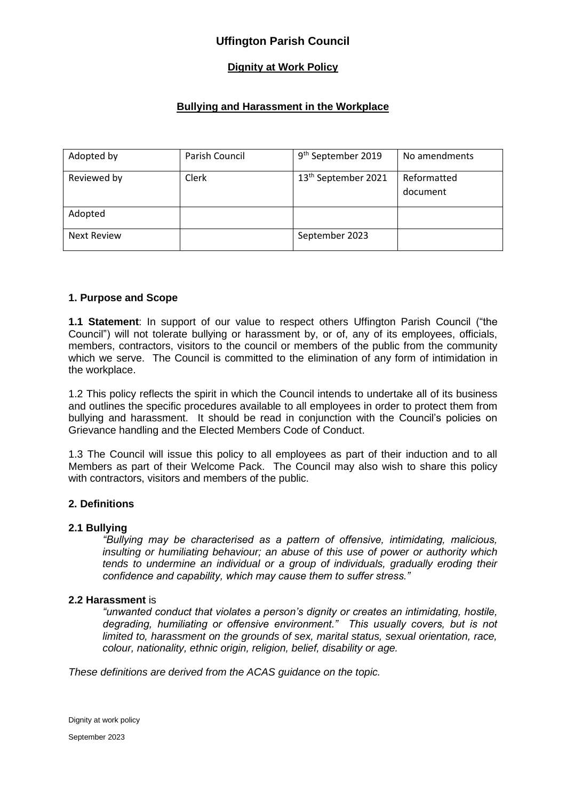# **Dignity at Work Policy**

# **Bullying and Harassment in the Workplace**

| Adopted by         | Parish Council | 9 <sup>th</sup> September 2019  | No amendments           |
|--------------------|----------------|---------------------------------|-------------------------|
| Reviewed by        | Clerk          | 13 <sup>th</sup> September 2021 | Reformatted<br>document |
| Adopted            |                |                                 |                         |
| <b>Next Review</b> |                | September 2023                  |                         |

### **1. Purpose and Scope**

**1.1 Statement**: In support of our value to respect others Uffington Parish Council ("the Council") will not tolerate bullying or harassment by, or of, any of its employees, officials, members, contractors, visitors to the council or members of the public from the community which we serve. The Council is committed to the elimination of any form of intimidation in the workplace.

1.2 This policy reflects the spirit in which the Council intends to undertake all of its business and outlines the specific procedures available to all employees in order to protect them from bullying and harassment. It should be read in conjunction with the Council's policies on Grievance handling and the Elected Members Code of Conduct.

1.3 The Council will issue this policy to all employees as part of their induction and to all Members as part of their Welcome Pack. The Council may also wish to share this policy with contractors, visitors and members of the public.

### **2. Definitions**

#### **2.1 Bullying**

*"Bullying may be characterised as a pattern of offensive, intimidating, malicious, insulting or humiliating behaviour; an abuse of this use of power or authority which tends to undermine an individual or a group of individuals, gradually eroding their confidence and capability, which may cause them to suffer stress."*

#### **2.2 Harassment** is

*"unwanted conduct that violates a person's dignity or creates an intimidating, hostile, degrading, humiliating or offensive environment." This usually covers, but is not limited to, harassment on the grounds of sex, marital status, sexual orientation, race, colour, nationality, ethnic origin, religion, belief, disability or age.*

*These definitions are derived from the ACAS guidance on the topic.*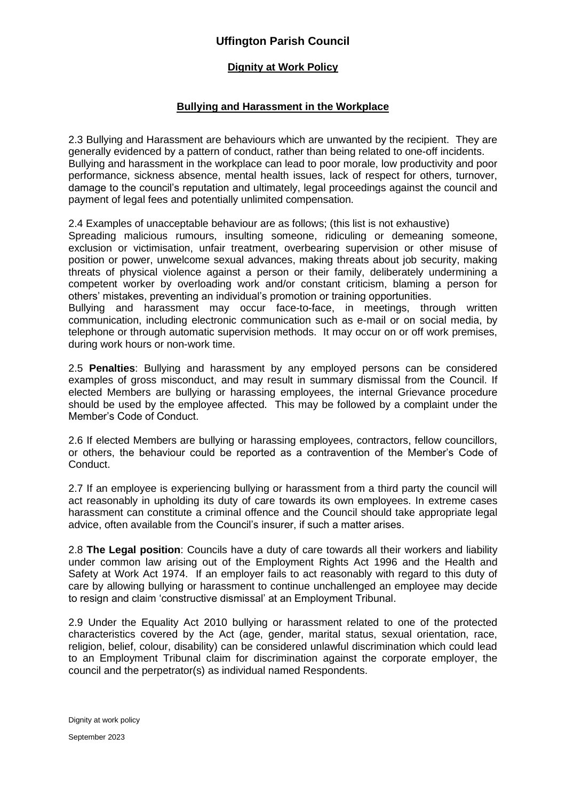## **Dignity at Work Policy**

### **Bullying and Harassment in the Workplace**

2.3 Bullying and Harassment are behaviours which are unwanted by the recipient. They are generally evidenced by a pattern of conduct, rather than being related to one-off incidents. Bullying and harassment in the workplace can lead to poor morale, low productivity and poor performance, sickness absence, mental health issues, lack of respect for others, turnover, damage to the council's reputation and ultimately, legal proceedings against the council and payment of legal fees and potentially unlimited compensation.

2.4 Examples of unacceptable behaviour are as follows; (this list is not exhaustive)

Spreading malicious rumours, insulting someone, ridiculing or demeaning someone, exclusion or victimisation, unfair treatment, overbearing supervision or other misuse of position or power, unwelcome sexual advances, making threats about job security, making threats of physical violence against a person or their family, deliberately undermining a competent worker by overloading work and/or constant criticism, blaming a person for others' mistakes, preventing an individual's promotion or training opportunities.

Bullying and harassment may occur face-to-face, in meetings, through written communication, including electronic communication such as e-mail or on social media, by telephone or through automatic supervision methods. It may occur on or off work premises, during work hours or non-work time.

2.5 **Penalties**: Bullying and harassment by any employed persons can be considered examples of gross misconduct, and may result in summary dismissal from the Council. If elected Members are bullying or harassing employees, the internal Grievance procedure should be used by the employee affected. This may be followed by a complaint under the Member's Code of Conduct.

2.6 If elected Members are bullying or harassing employees, contractors, fellow councillors, or others, the behaviour could be reported as a contravention of the Member's Code of Conduct.

2.7 If an employee is experiencing bullying or harassment from a third party the council will act reasonably in upholding its duty of care towards its own employees. In extreme cases harassment can constitute a criminal offence and the Council should take appropriate legal advice, often available from the Council's insurer, if such a matter arises.

2.8 **The Legal position**: Councils have a duty of care towards all their workers and liability under common law arising out of the Employment Rights Act 1996 and the Health and Safety at Work Act 1974. If an employer fails to act reasonably with regard to this duty of care by allowing bullying or harassment to continue unchallenged an employee may decide to resign and claim 'constructive dismissal' at an Employment Tribunal.

2.9 Under the Equality Act 2010 bullying or harassment related to one of the protected characteristics covered by the Act (age, gender, marital status, sexual orientation, race, religion, belief, colour, disability) can be considered unlawful discrimination which could lead to an Employment Tribunal claim for discrimination against the corporate employer, the council and the perpetrator(s) as individual named Respondents.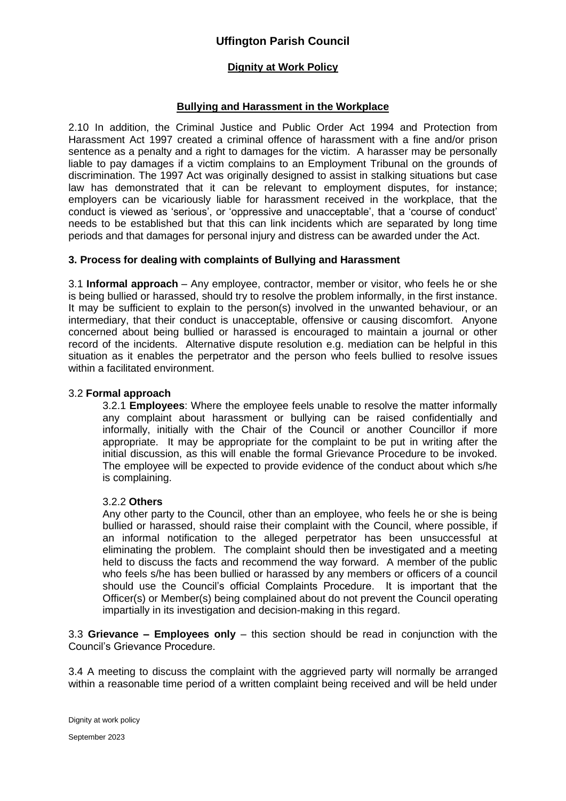## **Dignity at Work Policy**

### **Bullying and Harassment in the Workplace**

2.10 In addition, the Criminal Justice and Public Order Act 1994 and Protection from Harassment Act 1997 created a criminal offence of harassment with a fine and/or prison sentence as a penalty and a right to damages for the victim. A harasser may be personally liable to pay damages if a victim complains to an Employment Tribunal on the grounds of discrimination. The 1997 Act was originally designed to assist in stalking situations but case law has demonstrated that it can be relevant to employment disputes, for instance; employers can be vicariously liable for harassment received in the workplace, that the conduct is viewed as 'serious', or 'oppressive and unacceptable', that a 'course of conduct' needs to be established but that this can link incidents which are separated by long time periods and that damages for personal injury and distress can be awarded under the Act.

### **3. Process for dealing with complaints of Bullying and Harassment**

3.1 **Informal approach** – Any employee, contractor, member or visitor, who feels he or she is being bullied or harassed, should try to resolve the problem informally, in the first instance. It may be sufficient to explain to the person(s) involved in the unwanted behaviour, or an intermediary, that their conduct is unacceptable, offensive or causing discomfort. Anyone concerned about being bullied or harassed is encouraged to maintain a journal or other record of the incidents. Alternative dispute resolution e.g. mediation can be helpful in this situation as it enables the perpetrator and the person who feels bullied to resolve issues within a facilitated environment.

#### 3.2 **Formal approach**

3.2.1 **Employees**: Where the employee feels unable to resolve the matter informally any complaint about harassment or bullying can be raised confidentially and informally, initially with the Chair of the Council or another Councillor if more appropriate. It may be appropriate for the complaint to be put in writing after the initial discussion, as this will enable the formal Grievance Procedure to be invoked. The employee will be expected to provide evidence of the conduct about which s/he is complaining.

#### 3.2.2 **Others**

Any other party to the Council, other than an employee, who feels he or she is being bullied or harassed, should raise their complaint with the Council, where possible, if an informal notification to the alleged perpetrator has been unsuccessful at eliminating the problem. The complaint should then be investigated and a meeting held to discuss the facts and recommend the way forward. A member of the public who feels s/he has been bullied or harassed by any members or officers of a council should use the Council's official Complaints Procedure. It is important that the Officer(s) or Member(s) being complained about do not prevent the Council operating impartially in its investigation and decision-making in this regard.

3.3 **Grievance – Employees only** – this section should be read in conjunction with the Council's Grievance Procedure.

3.4 A meeting to discuss the complaint with the aggrieved party will normally be arranged within a reasonable time period of a written complaint being received and will be held under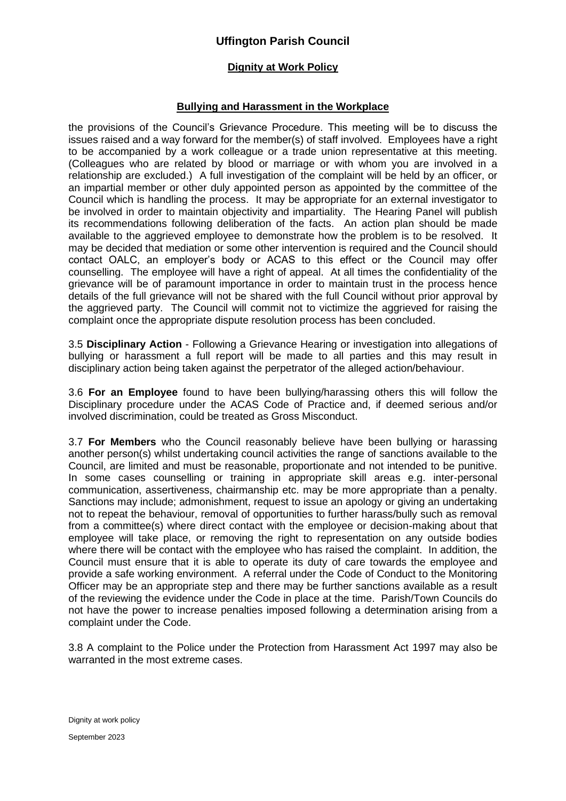### **Dignity at Work Policy**

### **Bullying and Harassment in the Workplace**

the provisions of the Council's Grievance Procedure. This meeting will be to discuss the issues raised and a way forward for the member(s) of staff involved. Employees have a right to be accompanied by a work colleague or a trade union representative at this meeting. (Colleagues who are related by blood or marriage or with whom you are involved in a relationship are excluded.) A full investigation of the complaint will be held by an officer, or an impartial member or other duly appointed person as appointed by the committee of the Council which is handling the process. It may be appropriate for an external investigator to be involved in order to maintain objectivity and impartiality. The Hearing Panel will publish its recommendations following deliberation of the facts. An action plan should be made available to the aggrieved employee to demonstrate how the problem is to be resolved. It may be decided that mediation or some other intervention is required and the Council should contact OALC, an employer's body or ACAS to this effect or the Council may offer counselling. The employee will have a right of appeal. At all times the confidentiality of the grievance will be of paramount importance in order to maintain trust in the process hence details of the full grievance will not be shared with the full Council without prior approval by the aggrieved party. The Council will commit not to victimize the aggrieved for raising the complaint once the appropriate dispute resolution process has been concluded.

3.5 **Disciplinary Action** - Following a Grievance Hearing or investigation into allegations of bullying or harassment a full report will be made to all parties and this may result in disciplinary action being taken against the perpetrator of the alleged action/behaviour.

3.6 **For an Employee** found to have been bullying/harassing others this will follow the Disciplinary procedure under the ACAS Code of Practice and, if deemed serious and/or involved discrimination, could be treated as Gross Misconduct.

3.7 **For Members** who the Council reasonably believe have been bullying or harassing another person(s) whilst undertaking council activities the range of sanctions available to the Council, are limited and must be reasonable, proportionate and not intended to be punitive. In some cases counselling or training in appropriate skill areas e.g. inter-personal communication, assertiveness, chairmanship etc. may be more appropriate than a penalty. Sanctions may include; admonishment, request to issue an apology or giving an undertaking not to repeat the behaviour, removal of opportunities to further harass/bully such as removal from a committee(s) where direct contact with the employee or decision-making about that employee will take place, or removing the right to representation on any outside bodies where there will be contact with the employee who has raised the complaint. In addition, the Council must ensure that it is able to operate its duty of care towards the employee and provide a safe working environment. A referral under the Code of Conduct to the Monitoring Officer may be an appropriate step and there may be further sanctions available as a result of the reviewing the evidence under the Code in place at the time. Parish/Town Councils do not have the power to increase penalties imposed following a determination arising from a complaint under the Code.

3.8 A complaint to the Police under the Protection from Harassment Act 1997 may also be warranted in the most extreme cases.